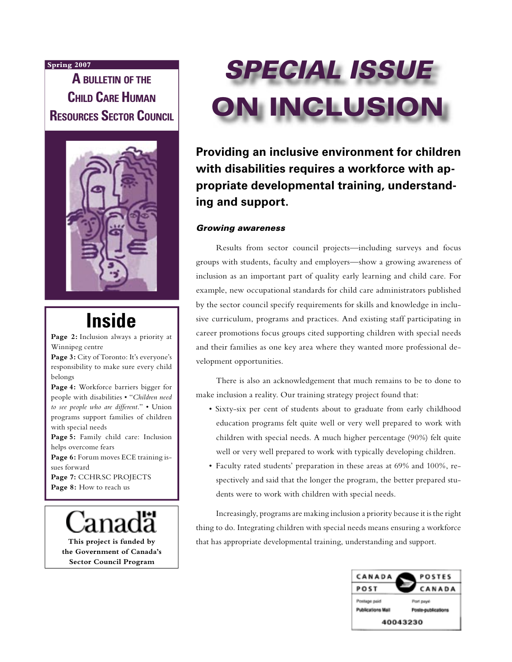#### **Spring 2007**

**A BULLETIN OF THE CHILD CARE HUMAN RESOURCES SECTOR COUNCIL** 



# **Inside**

**Page 2:** Inclusion always a priority at Winnipeg centre

**Page 3:** City of Toronto: It's everyone's responsibility to make sure every child belongs

**Page 4:** Workforce barriers bigger for people with disabilities • "*Children need to see people who are different.*" • Union programs support families of children with special needs

**Page 5:** Family child care: Inclusion helps overcome fears

**Page 6:** Forum moves ECE training issues forward

**Page 7:** CCHRSC PROJECTS Page 8: How to reach us

**This project is funded by the Government of Canada's Sector Council Program**



**Providing an inclusive environment for children with disabilities requires a workforce with appropriate developmental training, understanding and support.** 

#### Growing awareness

Results from sector council projects—including surveys and focus groups with students, faculty and employers—show a growing awareness of inclusion as an important part of quality early learning and child care. For example, new occupational standards for child care administrators published by the sector council specify requirements for skills and knowledge in inclusive curriculum, programs and practices. And existing staff participating in career promotions focus groups cited supporting children with special needs and their families as one key area where they wanted more professional development opportunities.

There is also an acknowledgement that much remains to be to done to make inclusion a reality. Our training strategy project found that:

- Sixty-six per cent of students about to graduate from early childhood education programs felt quite well or very well prepared to work with children with special needs. A much higher percentage (90%) felt quite well or very well prepared to work with typically developing children.
- Faculty rated students' preparation in these areas at 69% and 100%, respectively and said that the longer the program, the better prepared students were to work with children with special needs.

Increasingly, programs are making inclusion a priority because it is the right thing to do. Integrating children with special needs means ensuring a workforce that has appropriate developmental training, understanding and support.

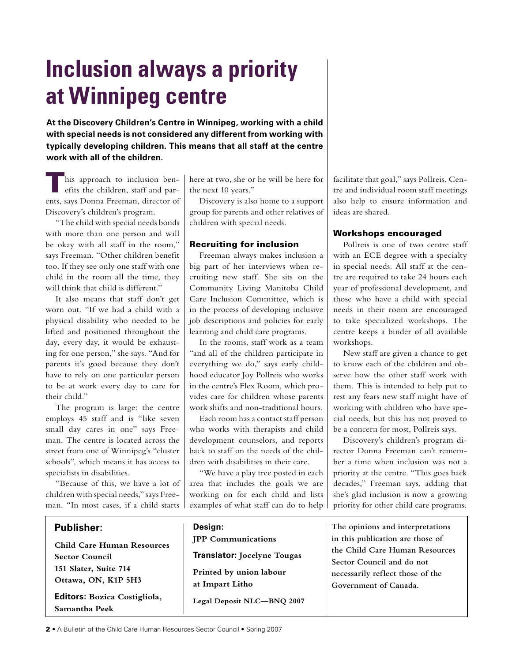# **Inclusion always a priority at Winnipeg centre**

**At the Discovery Children's Centre in Winnipeg, working with a child with special needs is not considered any different from working with typically developing children. This means that all staff at the centre work with all of the children.**

his approach to inclusion benefits the children, staff and parents, says Donna Freeman, director of Discovery's children's program.

"The child with special needs bonds with more than one person and will be okay with all staff in the room," says Freeman. "Other children benefit too. If they see only one staff with one child in the room all the time, they will think that child is different."

It also means that staff don't get worn out. "If we had a child with a physical disability who needed to be lifted and positioned throughout the day, every day, it would be exhausting for one person," she says. "And for parents it's good because they don't have to rely on one particular person to be at work every day to care for their child."

The program is large: the centre employs 45 staff and is "like seven small day cares in one" says Freeman. The centre is located across the street from one of Winnipeg's "cluster schools", which means it has access to specialists in disabilities.

"Because of this, we have a lot of children with special needs," says Freeman. "In most cases, if a child starts

## **Publisher:**

**Child Care Human Resources Sector Council 151 Slater, Suite 714 Ottawa, ON, K1P 5H3**

**Editors: Bozica Costigliola, Samantha Peek**

here at two, she or he will be here for the next 10 years."

Discovery is also home to a support group for parents and other relatives of children with special needs.

#### Recruiting for inclusion

Freeman always makes inclusion a big part of her interviews when recruiting new staff. She sits on the Community Living Manitoba Child Care Inclusion Committee, which is in the process of developing inclusive job descriptions and policies for early learning and child care programs.

In the rooms, staff work as a team "and all of the children participate in everything we do," says early childhood educator Joy Pollreis who works in the centre's Flex Room, which provides care for children whose parents work shifts and non-traditional hours.

Each room has a contact staff person who works with therapists and child development counselors, and reports back to staff on the needs of the children with disabilities in their care.

"We have a play tree posted in each area that includes the goals we are working on for each child and lists examples of what staff can do to help facilitate that goal," says Pollreis. Centre and individual room staff meetings also help to ensure information and ideas are shared.

#### Workshops encouraged

Pollreis is one of two centre staff with an ECE degree with a specialty in special needs. All staff at the centre are required to take 24 hours each year of professional development, and those who have a child with special needs in their room are encouraged to take specialized workshops. The centre keeps a binder of all available workshops.

New staff are given a chance to get to know each of the children and observe how the other staff work with them. This is intended to help put to rest any fears new staff might have of working with children who have special needs, but this has not proved to be a concern for most, Pollreis says.

Discovery's children's program director Donna Freeman can't remember a time when inclusion was not a priority at the centre. "This goes back decades," Freeman says, adding that she's glad inclusion is now a growing priority for other child care programs.

**The opinions and interpretations in this publication are those of the Child Care Human Resources Sector Council and do not necessarily reflect those of the Government of Canada.**

**Design: JPP Communications Translator: Jocelyne Tougas Printed by union labour at Impart Litho**

**Legal Deposit NLC—BNQ 2007**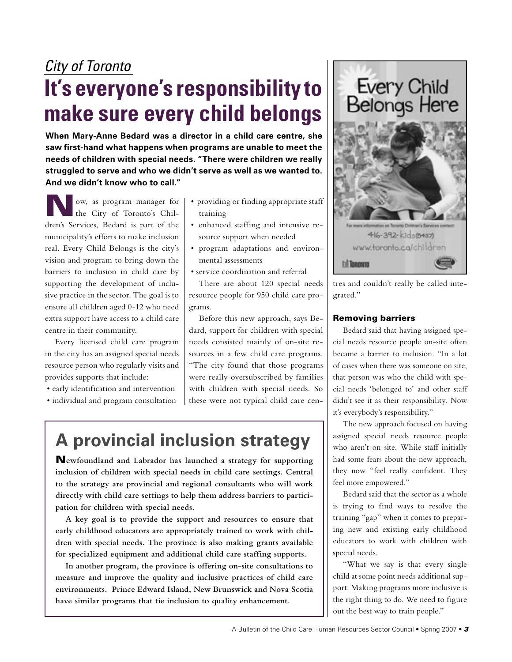## City of Toronto

# **It's everyone's responsibility to make sure every child belongs**

**When Mary-Anne Bedard was a director in a child care centre, she saw first-hand what happens when programs are unable to meet the needs of children with special needs. "There were children we really struggled to serve and who we didn't serve as well as we wanted to. And we didn't know who to call."**

ow, as program manager for the City of Toronto's Children's Services, Bedard is part of the municipality's efforts to make inclusion real. Every Child Belongs is the city's vision and program to bring down the barriers to inclusion in child care by supporting the development of inclusive practice in the sector. The goal is to ensure all children aged 0-12 who need extra support have access to a child care centre in their community.

Every licensed child care program in the city has an assigned special needs resource person who regularly visits and provides supports that include:

- early identification and intervention
- individual and program consultation
- providing or finding appropriate staff training
- enhanced staffing and intensive resource support when needed
- program adaptations and environmental assessments
- service coordination and referral

There are about 120 special needs resource people for 950 child care programs.

Before this new approach, says Bedard, support for children with special needs consisted mainly of on-site resources in a few child care programs. "The city found that those programs were really oversubscribed by families with children with special needs. So these were not typical child care cen-

# **A provincial inclusion strategy**

N**ewfoundland and Labrador has launched a strategy for supporting inclusion of children with special needs in child care settings. Central to the strategy are provincial and regional consultants who will work directly with child care settings to help them address barriers to participation for children with special needs.** 

**A key goal is to provide the support and resources to ensure that early childhood educators are appropriately trained to work with children with special needs. The province is also making grants available for specialized equipment and additional child care staffing supports.**

**In another program, the province is offering on-site consultations to measure and improve the quality and inclusive practices of child care environments. Prince Edward Island, New Brunswick and Nova Scotia have similar programs that tie inclusion to quality enhancement.**





tres and couldn't really be called integrated."

### Removing barriers

Bedard said that having assigned special needs resource people on-site often became a barrier to inclusion. "In a lot of cases when there was someone on site, that person was who the child with special needs 'belonged to' and other staff didn't see it as their responsibility. Now it's everybody's responsibility."

The new approach focused on having assigned special needs resource people who aren't on site. While staff initially had some fears about the new approach, they now "feel really confident. They feel more empowered."

Bedard said that the sector as a whole is trying to find ways to resolve the training "gap" when it comes to preparing new and existing early childhood educators to work with children with special needs.

"What we say is that every single child at some point needs additional support. Making programs more inclusive is the right thing to do. We need to figure out the best way to train people."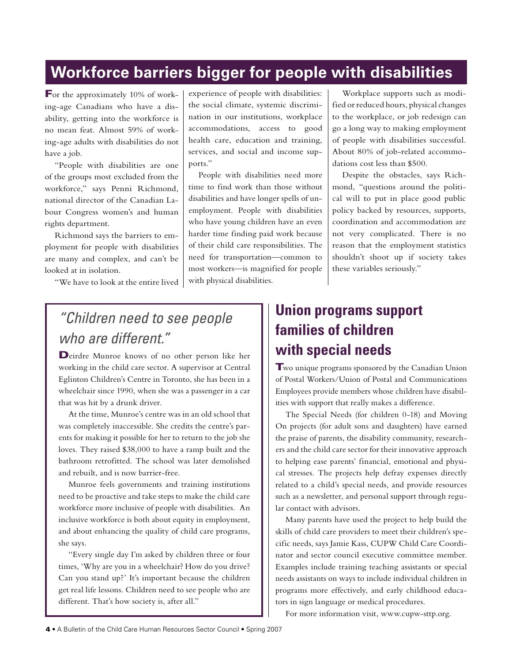## **Workforce barriers bigger for people with disabilities**

For the approximately 10% of working-age Canadians who have a disability, getting into the workforce is no mean feat. Almost 59% of working-age adults with disabilities do not have a job.

"People with disabilities are one of the groups most excluded from the workforce," says Penni Richmond, national director of the Canadian Labour Congress women's and human rights department.

Richmond says the barriers to employment for people with disabilities are many and complex, and can't be looked at in isolation.

"We have to look at the entire lived

experience of people with disabilities: the social climate, systemic discrimination in our institutions, workplace accommodations, access to good health care, education and training, services, and social and income supports."

People with disabilities need more time to find work than those without disabilities and have longer spells of unemployment. People with disabilities who have young children have an even harder time finding paid work because of their child care responsibilities. The need for transportation—common to most workers—is magnified for people with physical disabilities.

"Children need to see people who are different."

Deirdre Munroe knows of no other person like her working in the child care sector. A supervisor at Central Eglinton Children's Centre in Toronto, she has been in a wheelchair since 1990, when she was a passenger in a car that was hit by a drunk driver.

At the time, Munroe's centre was in an old school that was completely inaccessible. She credits the centre's parents for making it possible for her to return to the job she loves. They raised \$38,000 to have a ramp built and the bathroom retrofitted. The school was later demolished and rebuilt, and is now barrier-free.

Munroe feels governments and training institutions need to be proactive and take steps to make the child care workforce more inclusive of people with disabilities. An inclusive workforce is both about equity in employment, and about enhancing the quality of child care programs, she says.

"Every single day I'm asked by children three or four times, 'Why are you in a wheelchair? How do you drive? Can you stand up?' It's important because the children get real life lessons. Children need to see people who are different. That's how society is, after all."

# **Union programs support families of children with special needs**

Two unique programs sponsored by the Canadian Union of Postal Workers/Union of Postal and Communications Employees provide members whose children have disabilities with support that really makes a difference.

Workplace supports such as modified or reduced hours, physical changes to the workplace, or job redesign can go a long way to making employment of people with disabilities successful. About 80% of job-related accommo-

Despite the obstacles, says Richmond, "questions around the political will to put in place good public policy backed by resources, supports, coordination and accommodation are not very complicated. There is no reason that the employment statistics shouldn't shoot up if society takes

dations cost less than \$500.

these variables seriously."

The Special Needs (for children 0-18) and Moving On projects (for adult sons and daughters) have earned the praise of parents, the disability community, researchers and the child care sector for their innovative approach to helping ease parents' financial, emotional and physical stresses. The projects help defray expenses directly related to a child's special needs, and provide resources such as a newsletter, and personal support through regular contact with advisors.

Many parents have used the project to help build the skills of child care providers to meet their children's specific needs, says Jamie Kass, CUPW Child Care Coordinator and sector council executive committee member. Examples include training teaching assistants or special needs assistants on ways to include individual children in programs more effectively, and early childhood educators in sign language or medical procedures.

For more information visit, www.cupw-sttp.org.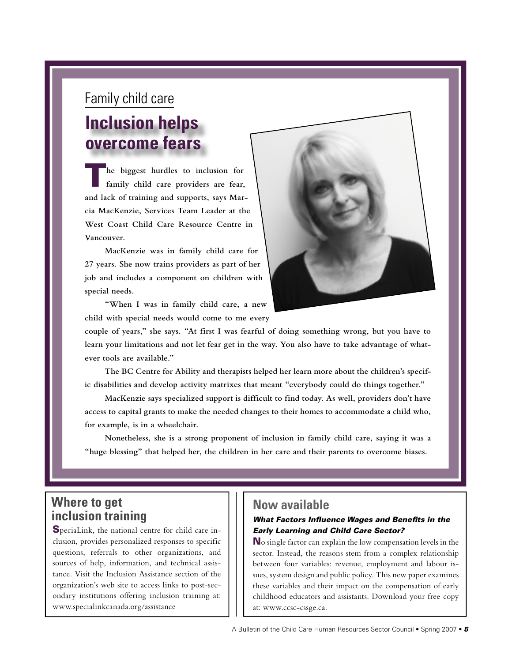# Family child care **Inclusion helps overcome fears**

**he biggest hurdles to inclusion for family child care providers are fear, and lack of training and supports, says Marcia MacKenzie, Services Team Leader at the West Coast Child Care Resource Centre in Vancouver.**

**MacKenzie was in family child care for 27 years. She now trains providers as part of her job and includes a component on children with special needs.**

**"When I was in family child care, a new child with special needs would come to me every** 



**couple of years," she says. "At first I was fearful of doing something wrong, but you have to learn your limitations and not let fear get in the way. You also have to take advantage of whatever tools are available."**

**The BC Centre for Ability and therapists helped her learn more about the children's specific disabilities and develop activity matrixes that meant "everybody could do things together."**

**MacKenzie says specialized support is difficult to find today. As well, providers don't have access to capital grants to make the needed changes to their homes to accommodate a child who, for example, is in a wheelchair.**

**Nonetheless, she is a strong proponent of inclusion in family child care, saying it was a "huge blessing" that helped her, the children in her care and their parents to overcome biases.**

## **Where to get inclusion training**

SpeciaLink, the national centre for child care inclusion, provides personalized responses to specific questions, referrals to other organizations, and sources of help, information, and technical assistance. Visit the Inclusion Assistance section of the organization's web site to access links to post-secondary institutions offering inclusion training at: www.specialinkcanada.org/assistance

## **Now available**

## What Factors Influence Wages and Benefits in the Early Learning and Child Care Sector?

No single factor can explain the low compensation levels in the sector. Instead, the reasons stem from a complex relationship between four variables: revenue, employment and labour issues, system design and public policy. This new paper examines these variables and their impact on the compensation of early childhood educators and assistants. Download your free copy at: www.ccsc-cssge.ca.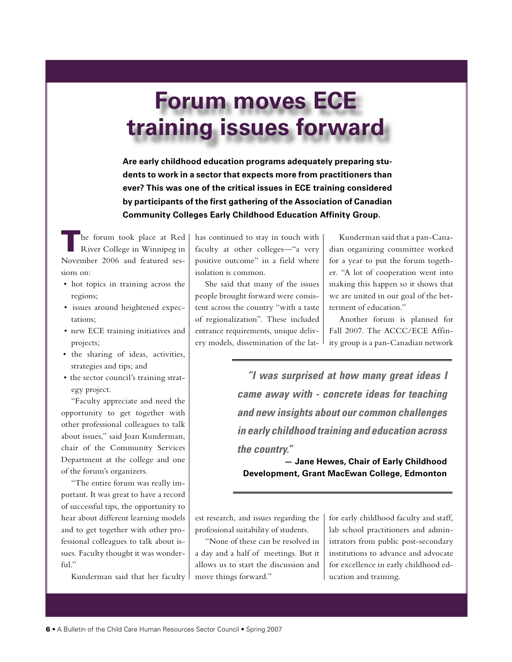# **Forum moves ECE training issues forward**

**Are early childhood education programs adequately preparing students to work in a sector that expects more from practitioners than ever? This was one of the critical issues in ECE training considered by participants of the first gathering of the Association of Canadian Community Colleges Early Childhood Education Affinity Group.** 

The forum took place at Red<br>River College in Winnipeg in November 2006 and featured sessions on:

- hot topics in training across the regions;
- issues around heightened expectations;
- new ECE training initiatives and projects;
- the sharing of ideas, activities, strategies and tips; and
- the sector council's training strategy project.

"Faculty appreciate and need the opportunity to get together with other professional colleagues to talk about issues," said Joan Kunderman, chair of the Community Services Department at the college and one of the forum's organizers.

"The entire forum was really important. It was great to have a record of successful tips, the opportunity to hear about different learning models and to get together with other professional colleagues to talk about issues. Faculty thought it was wonderful."

Kunderman said that her faculty

has continued to stay in touch with faculty at other colleges—"a very positive outcome" in a field where isolation is common.

She said that many of the issues people brought forward were consistent across the country "with a taste of regionalization". These included entrance requirements, unique delivery models, dissemination of the lat-

Kunderman said that a pan-Canadian organizing committee worked for a year to put the forum together. "A lot of cooperation went into making this happen so it shows that we are united in our goal of the betterment of education."

Another forum is planned for Fall 2007. The ACCC/ECE Affinity group is a pan-Canadian network

**"I was surprised at how many great ideas I came away with - concrete ideas for teaching and new insights about our common challenges in early childhood training and education across the country."**

**— Jane Hewes, Chair of Early Childhood Development, Grant MacEwan College, Edmonton**

est research, and issues regarding the professional suitability of students.

"None of these can be resolved in a day and a half of meetings. But it allows us to start the discussion and move things forward."

for early childhood faculty and staff, lab school practitioners and administrators from public post-secondary institutions to advance and advocate for excellence in early childhood education and training.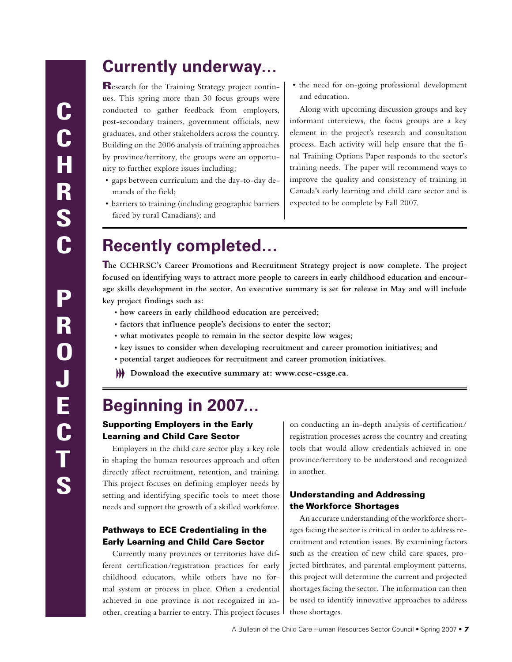## **Currently underway…**

Research for the Training Strategy project continues. This spring more than 30 focus groups were conducted to gather feedback from employers, post-secondary trainers, government officials, new graduates, and other stakeholders across the country. Building on the 2006 analysis of training approaches by province/territory, the groups were an opportunity to further explore issues including:

- gaps between curriculum and the day-to-day demands of the field;
- barriers to training (including geographic barriers faced by rural Canadians); and

• the need for on-going professional development and education.

Along with upcoming discussion groups and key informant interviews, the focus groups are a key element in the project's research and consultation process. Each activity will help ensure that the final Training Options Paper responds to the sector's training needs. The paper will recommend ways to improve the quality and consistency of training in Canada's early learning and child care sector and is expected to be complete by Fall 2007.

# **Recently completed…**

T**he CCHRSC's Career Promotions and Recruitment Strategy project is now complete. The project focused on identifying ways to attract more people to careers in early childhood education and encourage skills development in the sector. An executive summary is set for release in May and will include key project findings such as:**

- **how careers in early childhood education are perceived;**
- **factors that influence people's decisions to enter the sector;**
- **what motivates people to remain in the sector despite low wages;**
- **key issues to consider when developing recruitment and career promotion initiatives; and**
- **potential target audiences for recruitment and career promotion initiatives.**
- **Download the executive summary at: www.ccsc-cssge.ca.**

## **Beginning in 2007…**

## Supporting Employers in the Early Learning and Child Care Sector

Employers in the child care sector play a key role in shaping the human resources approach and often directly affect recruitment, retention, and training. This project focuses on defining employer needs by setting and identifying specific tools to meet those needs and support the growth of a skilled workforce.

### Pathways to ECE Credentialing in the Early Learning and Child Care Sector

Currently many provinces or territories have different certification/registration practices for early childhood educators, while others have no formal system or process in place. Often a credential achieved in one province is not recognized in another, creating a barrier to entry. This project focuses

on conducting an in-depth analysis of certification/ registration processes across the country and creating tools that would allow credentials achieved in one province/territory to be understood and recognized in another.

### Understanding and Addressing the Workforce Shortages

An accurate understanding of the workforce shortages facing the sector is critical in order to address recruitment and retention issues. By examining factors such as the creation of new child care spaces, projected birthrates, and parental employment patterns, this project will determine the current and projected shortages facing the sector. The information can then be used to identify innovative approaches to address those shortages.